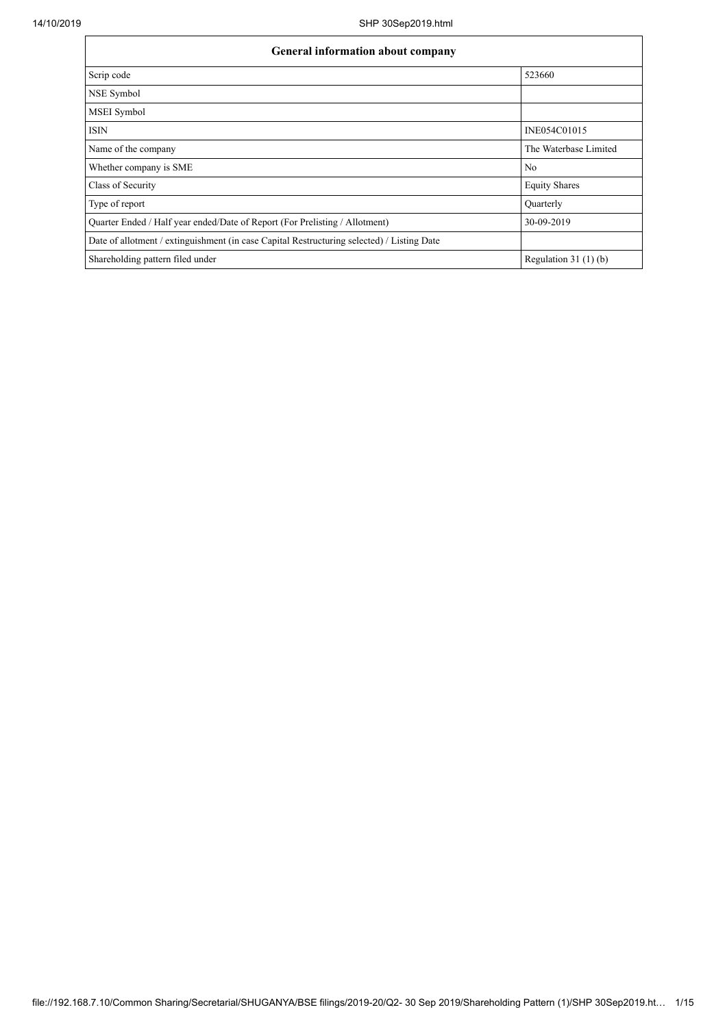| <b>General information about company</b>                                                   |                       |  |  |  |  |  |
|--------------------------------------------------------------------------------------------|-----------------------|--|--|--|--|--|
| Scrip code                                                                                 | 523660                |  |  |  |  |  |
| NSE Symbol                                                                                 |                       |  |  |  |  |  |
| MSEI Symbol                                                                                |                       |  |  |  |  |  |
| <b>ISIN</b>                                                                                | INE054C01015          |  |  |  |  |  |
| Name of the company                                                                        | The Waterbase Limited |  |  |  |  |  |
| Whether company is SME                                                                     | No                    |  |  |  |  |  |
| Class of Security                                                                          | <b>Equity Shares</b>  |  |  |  |  |  |
| Type of report                                                                             | Quarterly             |  |  |  |  |  |
| Quarter Ended / Half year ended/Date of Report (For Prelisting / Allotment)                | 30-09-2019            |  |  |  |  |  |
| Date of allotment / extinguishment (in case Capital Restructuring selected) / Listing Date |                       |  |  |  |  |  |
| Shareholding pattern filed under                                                           | Regulation $31(1)(b)$ |  |  |  |  |  |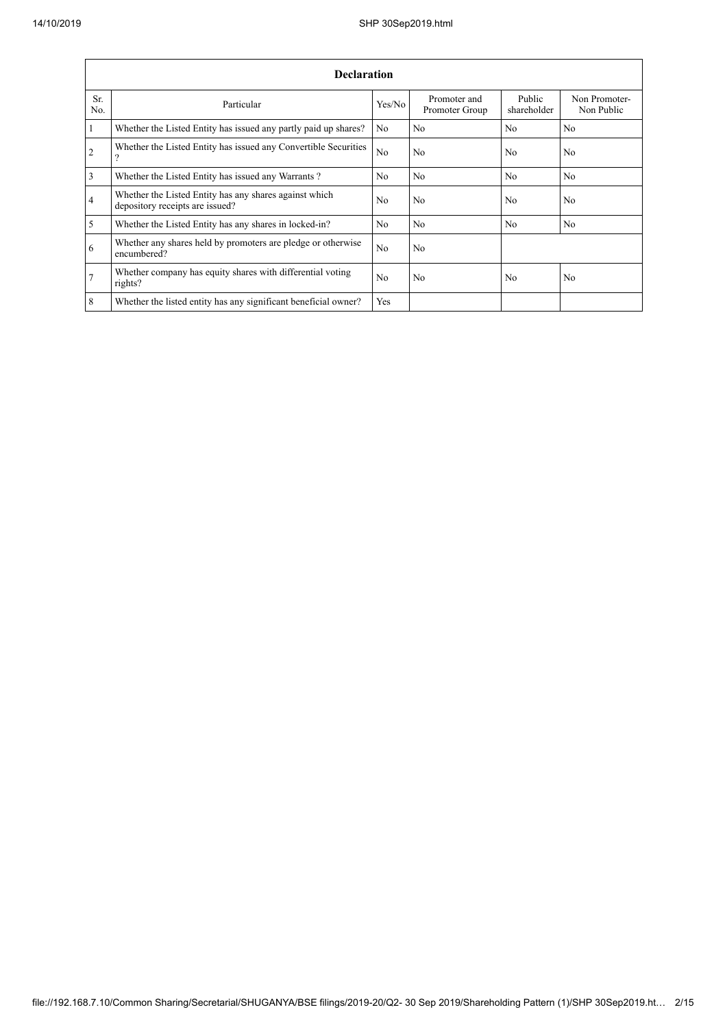|                | <b>Declaration</b>                                                                        |                |                                |                       |                             |  |  |  |  |
|----------------|-------------------------------------------------------------------------------------------|----------------|--------------------------------|-----------------------|-----------------------------|--|--|--|--|
| Sr.<br>No.     | Particular                                                                                | Yes/No         | Promoter and<br>Promoter Group | Public<br>shareholder | Non Promoter-<br>Non Public |  |  |  |  |
| $\mathbf{1}$   | Whether the Listed Entity has issued any partly paid up shares?                           | No             | No                             | N <sub>o</sub>        | No.                         |  |  |  |  |
| $\overline{2}$ | Whether the Listed Entity has issued any Convertible Securities<br>9                      | N <sub>o</sub> | No                             | N <sub>0</sub>        | N <sub>0</sub>              |  |  |  |  |
| 3              | Whether the Listed Entity has issued any Warrants?                                        | N <sub>0</sub> | N <sub>0</sub>                 | N <sub>o</sub>        | N <sub>0</sub>              |  |  |  |  |
| $\overline{4}$ | Whether the Listed Entity has any shares against which<br>depository receipts are issued? | N <sub>0</sub> | No                             | N <sub>o</sub>        | No                          |  |  |  |  |
| 5              | Whether the Listed Entity has any shares in locked-in?                                    | N <sub>o</sub> | No                             | N <sub>o</sub>        | N <sub>o</sub>              |  |  |  |  |
| 6              | Whether any shares held by promoters are pledge or otherwise<br>encumbered?               | N <sub>o</sub> | No                             |                       |                             |  |  |  |  |
| $\overline{7}$ | Whether company has equity shares with differential voting<br>rights?                     | N <sub>0</sub> | No                             | N <sub>0</sub>        | No                          |  |  |  |  |
| 8              | Whether the listed entity has any significant beneficial owner?                           | Yes            |                                |                       |                             |  |  |  |  |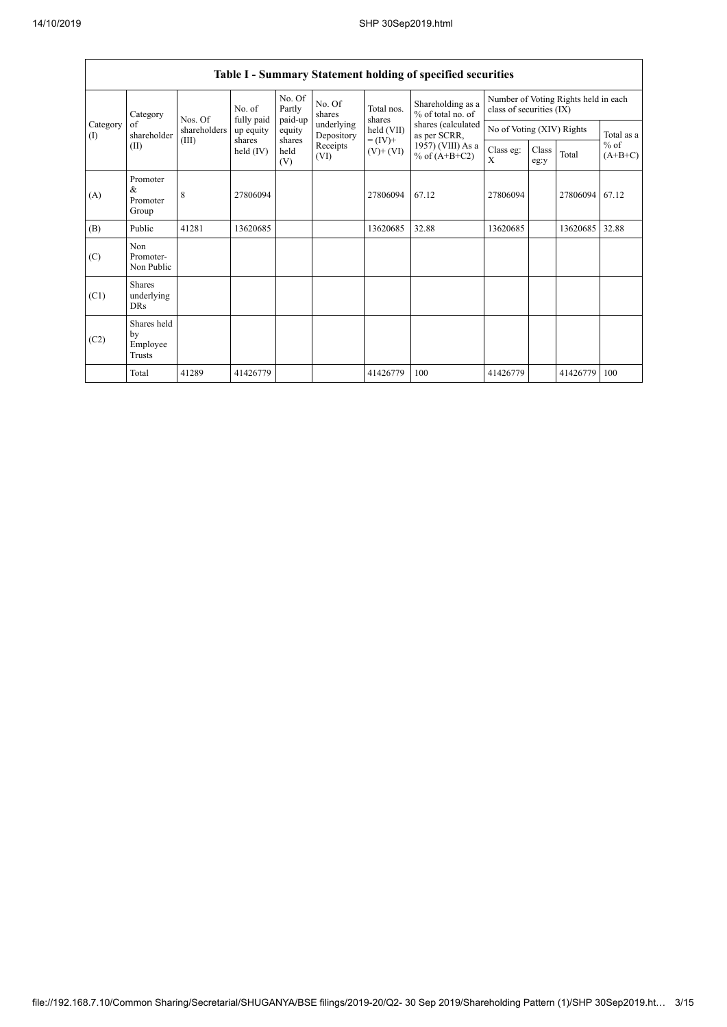|                 | Table I - Summary Statement holding of specified securities |                         |                         |                       |                          |                              |                                          |                                                                  |               |          |                     |
|-----------------|-------------------------------------------------------------|-------------------------|-------------------------|-----------------------|--------------------------|------------------------------|------------------------------------------|------------------------------------------------------------------|---------------|----------|---------------------|
|                 | Category                                                    |                         | No. of                  | No. Of<br>Partly      | No. Of<br>shares         | Total nos.<br>shares         | Shareholding as a<br>$%$ of total no. of | Number of Voting Rights held in each<br>class of securities (IX) |               |          |                     |
| Category<br>(1) | of<br>shareholder                                           | Nos. Of<br>shareholders | fully paid<br>up equity | paid-up<br>equity     | underlying<br>Depository | held (VII)                   | shares (calculated<br>as per SCRR,       | No of Voting (XIV) Rights                                        |               |          | Total as a          |
|                 | (II)                                                        | (III)                   | shares<br>held $(IV)$   | shares<br>held<br>(V) | Receipts<br>(VI)         | $= (IV) +$<br>$(V)$ + $(VI)$ | 1957) (VIII) As a<br>% of $(A+B+C2)$     | Class eg:<br>X                                                   | Class<br>eg:y | Total    | $%$ of<br>$(A+B+C)$ |
| (A)             | Promoter<br>$\&$<br>Promoter<br>Group                       | 8                       | 27806094                |                       |                          | 27806094                     | 67.12                                    | 27806094                                                         |               | 27806094 | 67.12               |
| (B)             | Public                                                      | 41281                   | 13620685                |                       |                          | 13620685                     | 32.88                                    | 13620685                                                         |               | 13620685 | 32.88               |
| (C)             | Non<br>Promoter-<br>Non Public                              |                         |                         |                       |                          |                              |                                          |                                                                  |               |          |                     |
| (C1)            | Shares<br>underlying<br><b>DRs</b>                          |                         |                         |                       |                          |                              |                                          |                                                                  |               |          |                     |
| (C2)            | Shares held<br>by<br>Employee<br>Trusts                     |                         |                         |                       |                          |                              |                                          |                                                                  |               |          |                     |
|                 | Total                                                       | 41289                   | 41426779                |                       |                          | 41426779                     | 100                                      | 41426779                                                         |               | 41426779 | 100                 |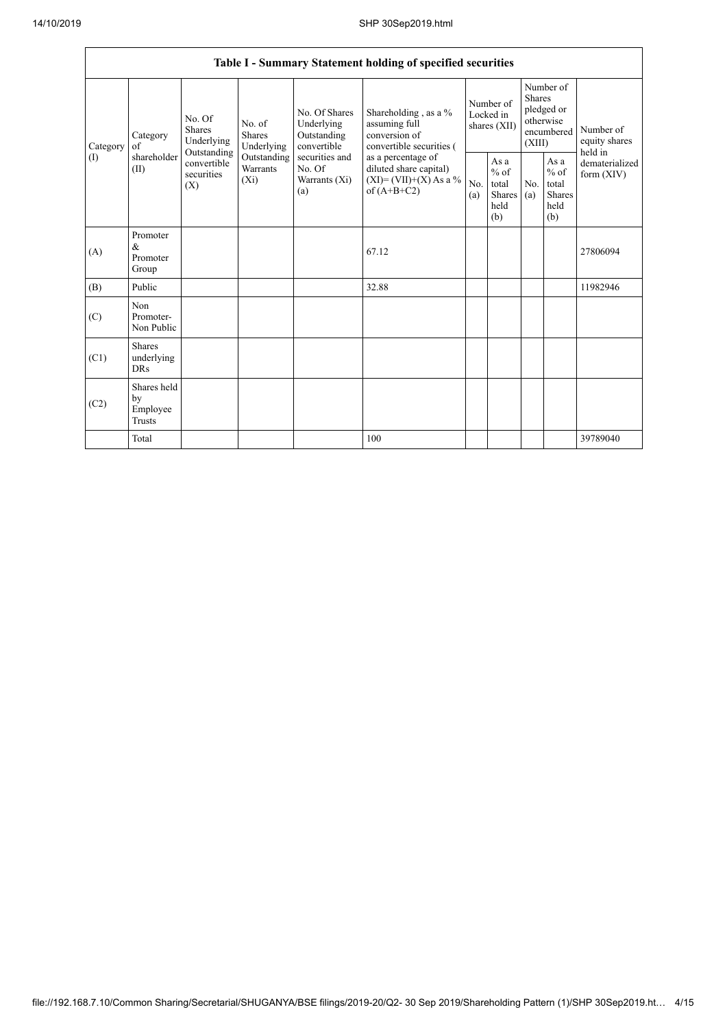|                 | Table I - Summary Statement holding of specified securities |                                                                                                                                                                         |                                                     |                                                                                            |                                                                                    |                                                  |                       |                                                                               |                                |                                       |
|-----------------|-------------------------------------------------------------|-------------------------------------------------------------------------------------------------------------------------------------------------------------------------|-----------------------------------------------------|--------------------------------------------------------------------------------------------|------------------------------------------------------------------------------------|--------------------------------------------------|-----------------------|-------------------------------------------------------------------------------|--------------------------------|---------------------------------------|
| Category<br>(1) | Category<br>of<br>shareholder<br>(II)                       | No. Of<br>No. of<br><b>Shares</b><br><b>Shares</b><br>Underlying<br>Underlying<br>Outstanding<br>Outstanding<br>convertible<br>Warrants<br>securities<br>$(X_i)$<br>(X) |                                                     | No. Of Shares<br>Underlying<br>Outstanding<br>convertible                                  | Shareholding, as a %<br>assuming full<br>conversion of<br>convertible securities ( | Number of<br>Locked in<br>shares $(XII)$         |                       | Number of<br><b>Shares</b><br>pledged or<br>otherwise<br>encumbered<br>(XIII) |                                | Number of<br>equity shares<br>held in |
|                 |                                                             |                                                                                                                                                                         | securities and<br>No. Of<br>Warrants $(X_i)$<br>(a) | as a percentage of<br>diluted share capital)<br>$(XI) = (VII)+(X) As a %$<br>of $(A+B+C2)$ | No.<br>(a)                                                                         | As a<br>$%$ of<br>total<br>Shares<br>held<br>(b) | N <sub>0</sub><br>(a) | As a<br>$%$ of<br>total<br><b>Shares</b><br>held<br>(b)                       | dematerialized<br>form $(XIV)$ |                                       |
| (A)             | Promoter<br>$\&$<br>Promoter<br>Group                       |                                                                                                                                                                         |                                                     |                                                                                            | 67.12                                                                              |                                                  |                       |                                                                               |                                | 27806094                              |
| (B)             | Public                                                      |                                                                                                                                                                         |                                                     |                                                                                            | 32.88                                                                              |                                                  |                       |                                                                               |                                | 11982946                              |
| (C)             | Non<br>Promoter-<br>Non Public                              |                                                                                                                                                                         |                                                     |                                                                                            |                                                                                    |                                                  |                       |                                                                               |                                |                                       |
| (C1)            | <b>Shares</b><br>underlying<br><b>DRs</b>                   |                                                                                                                                                                         |                                                     |                                                                                            |                                                                                    |                                                  |                       |                                                                               |                                |                                       |
| (C2)            | Shares held<br>by<br>Employee<br><b>Trusts</b>              |                                                                                                                                                                         |                                                     |                                                                                            |                                                                                    |                                                  |                       |                                                                               |                                |                                       |
|                 | Total                                                       |                                                                                                                                                                         |                                                     |                                                                                            | 100                                                                                |                                                  |                       |                                                                               |                                | 39789040                              |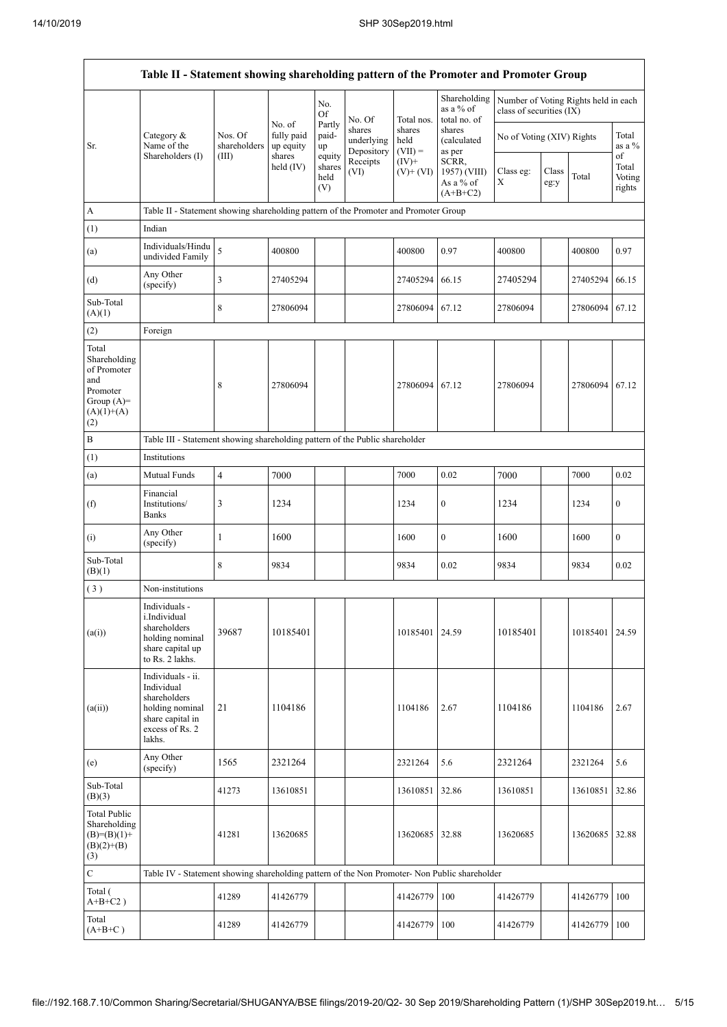Ĭ.

|                                                                                                | Table II - Statement showing shareholding pattern of the Promoter and Promoter Group                                |                                  |                                             |                                 |                                    |                             |                                                  |                                                                  |               |          |                           |
|------------------------------------------------------------------------------------------------|---------------------------------------------------------------------------------------------------------------------|----------------------------------|---------------------------------------------|---------------------------------|------------------------------------|-----------------------------|--------------------------------------------------|------------------------------------------------------------------|---------------|----------|---------------------------|
|                                                                                                |                                                                                                                     |                                  |                                             | No.<br>Of                       | No. Of                             | Total nos.                  | Shareholding<br>as a $%$ of<br>total no. of      | Number of Voting Rights held in each<br>class of securities (IX) |               |          |                           |
| Sr.                                                                                            | Category $\&$<br>Name of the<br>Shareholders (I)                                                                    | Nos. Of<br>shareholders<br>(III) | No. of<br>fully paid<br>up equity<br>shares | Partly<br>paid-<br>up<br>equity | shares<br>underlying<br>Depository | shares<br>held<br>$(VII) =$ | shares<br>(calculated<br>as per                  | No of Voting (XIV) Rights                                        |               |          | Total<br>as a %<br>of     |
|                                                                                                |                                                                                                                     |                                  | held $(IV)$                                 | shares<br>held<br>(V)           | Receipts<br>(VI)                   | $(IV)+$<br>$(V)$ + $(VI)$   | SCRR,<br>1957) (VIII)<br>As a % of<br>$(A+B+C2)$ | Class eg:<br>Χ                                                   | Class<br>eg:y | Total    | Total<br>Voting<br>rights |
| A                                                                                              | Table II - Statement showing shareholding pattern of the Promoter and Promoter Group                                |                                  |                                             |                                 |                                    |                             |                                                  |                                                                  |               |          |                           |
| (1)                                                                                            | Indian                                                                                                              |                                  |                                             |                                 |                                    |                             |                                                  |                                                                  |               |          |                           |
| (a)                                                                                            | Individuals/Hindu<br>undivided Family                                                                               | 5                                | 400800                                      |                                 |                                    | 400800                      | 0.97                                             | 400800                                                           |               | 400800   | 0.97                      |
| (d)                                                                                            | Any Other<br>(specify)                                                                                              | 3                                | 27405294                                    |                                 |                                    | 27405294                    | 66.15                                            | 27405294                                                         |               | 27405294 | 66.15                     |
| Sub-Total<br>(A)(1)                                                                            |                                                                                                                     | 8                                | 27806094                                    |                                 |                                    | 27806094                    | 67.12                                            | 27806094                                                         |               | 27806094 | 67.12                     |
| (2)                                                                                            | Foreign                                                                                                             |                                  |                                             |                                 |                                    |                             |                                                  |                                                                  |               |          |                           |
| Total<br>Shareholding<br>of Promoter<br>and<br>Promoter<br>Group $(A)=$<br>$(A)(1)+(A)$<br>(2) |                                                                                                                     | 8                                | 27806094                                    |                                 |                                    | 27806094                    | 67.12                                            | 27806094                                                         |               | 27806094 | 67.12                     |
| $\, {\bf B}$                                                                                   | Table III - Statement showing shareholding pattern of the Public shareholder                                        |                                  |                                             |                                 |                                    |                             |                                                  |                                                                  |               |          |                           |
| (1)                                                                                            | Institutions                                                                                                        |                                  |                                             |                                 |                                    |                             |                                                  |                                                                  |               |          |                           |
| (a)                                                                                            | Mutual Funds                                                                                                        | $\overline{4}$                   | 7000                                        |                                 |                                    | 7000                        | 0.02                                             | 7000                                                             |               | 7000     | 0.02                      |
| (f)                                                                                            | Financial<br>Institutions/<br><b>Banks</b>                                                                          | 3                                | 1234                                        |                                 |                                    | 1234                        | $\bf{0}$                                         | 1234                                                             |               | 1234     | $\boldsymbol{0}$          |
| (i)                                                                                            | Any Other<br>(specify)                                                                                              | 1                                | 1600                                        |                                 |                                    | 1600                        | $\boldsymbol{0}$                                 | 1600                                                             |               | 1600     | $\mathbf{0}$              |
| Sub-Total<br>(B)(1)                                                                            |                                                                                                                     | 8                                | 9834                                        |                                 |                                    | 9834                        | 0.02                                             | 9834                                                             |               | 9834     | 0.02                      |
| (3)                                                                                            | Non-institutions                                                                                                    |                                  |                                             |                                 |                                    |                             |                                                  |                                                                  |               |          |                           |
| (a(i))                                                                                         | Individuals -<br>i.Individual<br>shareholders<br>holding nominal<br>share capital up<br>to Rs. 2 lakhs.             | 39687                            | 10185401                                    |                                 |                                    | 10185401                    | 24.59                                            | 10185401                                                         |               | 10185401 | 24.59                     |
| (a(ii))                                                                                        | Individuals - ii.<br>Individual<br>shareholders<br>holding nominal<br>share capital in<br>excess of Rs. 2<br>lakhs. | 21                               | 1104186                                     |                                 |                                    | 1104186                     | 2.67                                             | 1104186                                                          |               | 1104186  | 2.67                      |
| (e)                                                                                            | Any Other<br>(specify)                                                                                              | 1565                             | 2321264                                     |                                 |                                    | 2321264                     | 5.6                                              | 2321264                                                          |               | 2321264  | 5.6                       |
| Sub-Total<br>(B)(3)                                                                            |                                                                                                                     | 41273                            | 13610851                                    |                                 |                                    | 13610851                    | 32.86                                            | 13610851                                                         |               | 13610851 | 32.86                     |
| <b>Total Public</b><br>Shareholding<br>$(B)=(B)(1)+$<br>$(B)(2)+(B)$<br>(3)                    |                                                                                                                     | 41281                            | 13620685                                    |                                 |                                    | 13620685                    | 32.88                                            | 13620685                                                         |               | 13620685 | 32.88                     |
| $\mathbf C$                                                                                    | Table IV - Statement showing shareholding pattern of the Non Promoter- Non Public shareholder                       |                                  |                                             |                                 |                                    |                             |                                                  |                                                                  |               |          |                           |
| Total (<br>$A+B+C2$ )                                                                          |                                                                                                                     | 41289                            | 41426779                                    |                                 |                                    | 41426779                    | 100                                              | 41426779                                                         |               | 41426779 | 100                       |
| Total<br>$(A+B+C)$                                                                             |                                                                                                                     | 41289                            | 41426779                                    |                                 |                                    | 41426779                    | 100                                              | 41426779                                                         |               | 41426779 | 100                       |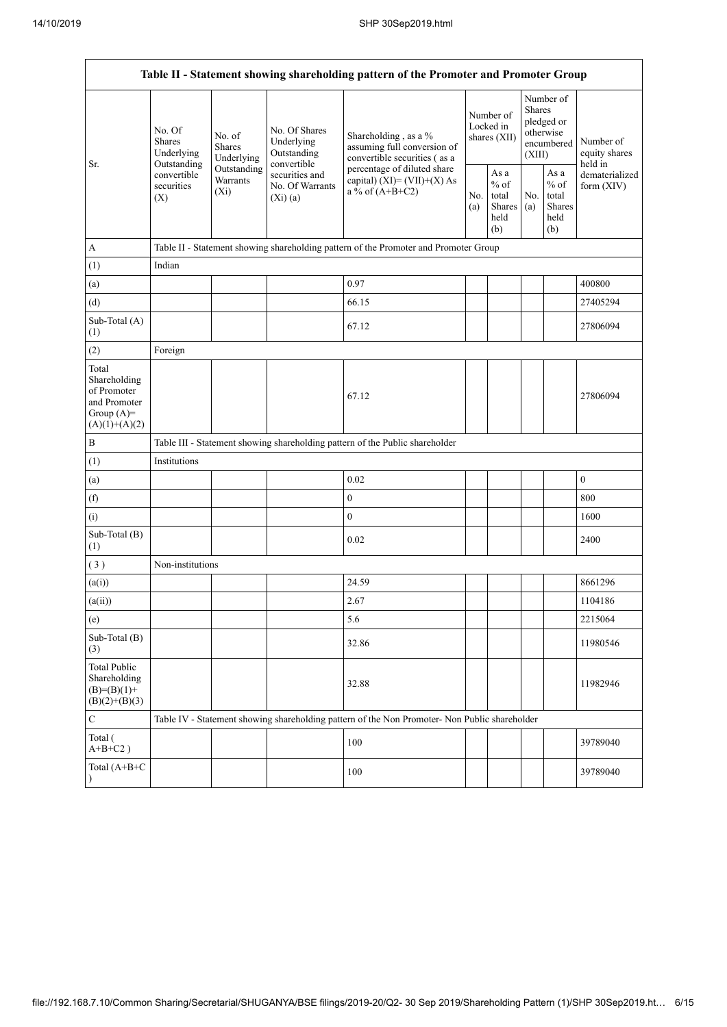| Table II - Statement showing shareholding pattern of the Promoter and Promoter Group    |                                                                                   |                                                                                                                                                                                   |                                                                                    |                                                                                               |                                                  |            |                                                                        |                              |                                       |  |
|-----------------------------------------------------------------------------------------|-----------------------------------------------------------------------------------|-----------------------------------------------------------------------------------------------------------------------------------------------------------------------------------|------------------------------------------------------------------------------------|-----------------------------------------------------------------------------------------------|--------------------------------------------------|------------|------------------------------------------------------------------------|------------------------------|---------------------------------------|--|
| Sr.                                                                                     | No. Of<br>Shares<br>Underlying<br>Outstanding<br>convertible<br>securities<br>(X) | No. Of Shares<br>No. of<br>Underlying<br>Shares<br>Outstanding<br>Underlying<br>convertible<br>Outstanding<br>securities and<br>Warrants<br>No. Of Warrants<br>$(X_i)$<br>(Xi)(a) |                                                                                    | Shareholding, as a %<br>assuming full conversion of<br>convertible securities (as a           | Number of<br>Locked in<br>shares (XII)           |            | Number of<br>Shares<br>pledged or<br>otherwise<br>encumbered<br>(XIII) |                              | Number of<br>equity shares<br>held in |  |
|                                                                                         |                                                                                   |                                                                                                                                                                                   | percentage of diluted share<br>capital) $(XI) = (VII)+(X) As$<br>a % of $(A+B+C2)$ | No.<br>(a)                                                                                    | As a<br>$%$ of<br>total<br>Shares<br>held<br>(b) | No.<br>(a) | As a<br>$\%$ of<br>total<br>Shares<br>held<br>(b)                      | dematerialized<br>form (XIV) |                                       |  |
| A                                                                                       |                                                                                   | Table II - Statement showing shareholding pattern of the Promoter and Promoter Group                                                                                              |                                                                                    |                                                                                               |                                                  |            |                                                                        |                              |                                       |  |
| (1)                                                                                     | Indian                                                                            |                                                                                                                                                                                   |                                                                                    |                                                                                               |                                                  |            |                                                                        |                              |                                       |  |
| (a)                                                                                     |                                                                                   |                                                                                                                                                                                   |                                                                                    | 0.97                                                                                          |                                                  |            |                                                                        |                              | 400800                                |  |
| (d)                                                                                     |                                                                                   |                                                                                                                                                                                   |                                                                                    | 66.15                                                                                         |                                                  |            |                                                                        |                              | 27405294                              |  |
| Sub-Total (A)<br>(1)                                                                    |                                                                                   |                                                                                                                                                                                   |                                                                                    | 67.12                                                                                         |                                                  |            |                                                                        |                              | 27806094                              |  |
| (2)                                                                                     | Foreign                                                                           |                                                                                                                                                                                   |                                                                                    |                                                                                               |                                                  |            |                                                                        |                              |                                       |  |
| Total<br>Shareholding<br>of Promoter<br>and Promoter<br>Group $(A)=$<br>$(A)(1)+(A)(2)$ |                                                                                   |                                                                                                                                                                                   |                                                                                    | 67.12                                                                                         |                                                  |            |                                                                        |                              | 27806094                              |  |
| $\, {\bf B}$                                                                            |                                                                                   | Table III - Statement showing shareholding pattern of the Public shareholder                                                                                                      |                                                                                    |                                                                                               |                                                  |            |                                                                        |                              |                                       |  |
| (1)                                                                                     | Institutions                                                                      |                                                                                                                                                                                   |                                                                                    |                                                                                               |                                                  |            |                                                                        |                              |                                       |  |
| (a)                                                                                     |                                                                                   |                                                                                                                                                                                   |                                                                                    | 0.02                                                                                          |                                                  |            |                                                                        |                              | $\boldsymbol{0}$                      |  |
| (f)                                                                                     |                                                                                   |                                                                                                                                                                                   |                                                                                    | $\boldsymbol{0}$                                                                              |                                                  |            |                                                                        |                              | 800                                   |  |
| (i)                                                                                     |                                                                                   |                                                                                                                                                                                   |                                                                                    | $\boldsymbol{0}$                                                                              |                                                  |            |                                                                        |                              | 1600                                  |  |
| Sub-Total (B)<br>$^{(1)}$                                                               |                                                                                   |                                                                                                                                                                                   |                                                                                    | 0.02                                                                                          |                                                  |            |                                                                        |                              | 2400                                  |  |
| (3)                                                                                     | Non-institutions                                                                  |                                                                                                                                                                                   |                                                                                    |                                                                                               |                                                  |            |                                                                        |                              |                                       |  |
| (a(i))                                                                                  |                                                                                   |                                                                                                                                                                                   |                                                                                    | 24.59                                                                                         |                                                  |            |                                                                        |                              | 8661296                               |  |
| (a(ii))                                                                                 |                                                                                   |                                                                                                                                                                                   |                                                                                    | 2.67                                                                                          |                                                  |            |                                                                        |                              | 1104186                               |  |
| (e)                                                                                     |                                                                                   |                                                                                                                                                                                   |                                                                                    | 5.6                                                                                           |                                                  |            |                                                                        |                              | 2215064                               |  |
| Sub-Total (B)<br>(3)                                                                    |                                                                                   |                                                                                                                                                                                   |                                                                                    | 32.86                                                                                         |                                                  |            |                                                                        |                              | 11980546                              |  |
| <b>Total Public</b><br>Shareholding<br>$(B)= (B)(1) +$<br>$(B)(2)+(B)(3)$               |                                                                                   |                                                                                                                                                                                   |                                                                                    | 32.88                                                                                         |                                                  |            |                                                                        |                              | 11982946                              |  |
| $\mathbf C$                                                                             |                                                                                   |                                                                                                                                                                                   |                                                                                    | Table IV - Statement showing shareholding pattern of the Non Promoter- Non Public shareholder |                                                  |            |                                                                        |                              |                                       |  |
| Total (<br>$A+B+C2$ )                                                                   |                                                                                   |                                                                                                                                                                                   |                                                                                    | 100                                                                                           |                                                  |            |                                                                        |                              | 39789040                              |  |
| Total (A+B+C<br>$\mathcal{E}$                                                           |                                                                                   |                                                                                                                                                                                   |                                                                                    | 100                                                                                           |                                                  |            |                                                                        |                              | 39789040                              |  |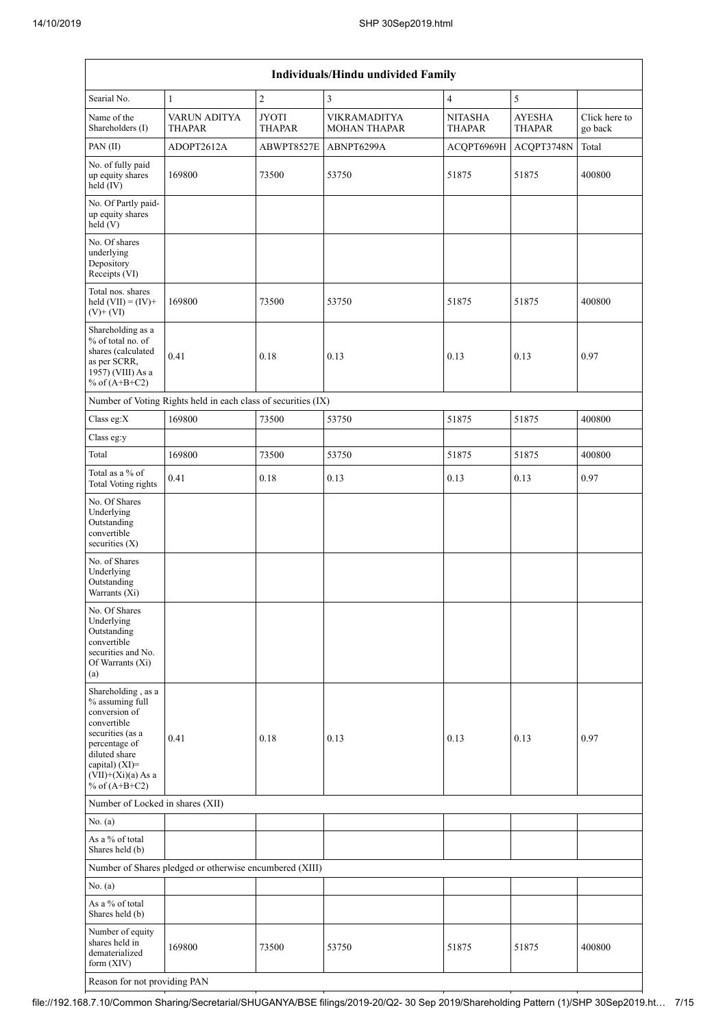|                                                                                                                                                                                             | <b>Individuals/Hindu undivided Family</b>                     |                               |                                            |                                 |                                |                          |  |  |  |  |  |
|---------------------------------------------------------------------------------------------------------------------------------------------------------------------------------------------|---------------------------------------------------------------|-------------------------------|--------------------------------------------|---------------------------------|--------------------------------|--------------------------|--|--|--|--|--|
| Searial No.                                                                                                                                                                                 | 1                                                             | $\overline{c}$                | $\mathfrak{Z}$                             | $\overline{4}$                  | 5                              |                          |  |  |  |  |  |
| Name of the<br>Shareholders (I)                                                                                                                                                             | VARUN ADITYA<br><b>THAPAR</b>                                 | <b>JYOTI</b><br><b>THAPAR</b> | <b>VIKRAMADITYA</b><br><b>MOHAN THAPAR</b> | <b>NITASHA</b><br><b>THAPAR</b> | <b>AYESHA</b><br><b>THAPAR</b> | Click here to<br>go back |  |  |  |  |  |
| PAN(II)                                                                                                                                                                                     | ADOPT2612A                                                    | ABWPT8527E                    | ABNPT6299A                                 | ACQPT6969H                      | ACQPT3748N                     | Total                    |  |  |  |  |  |
| No. of fully paid<br>up equity shares<br>held (IV)                                                                                                                                          | 169800                                                        |                               | 53750                                      | 51875                           | 51875                          | 400800                   |  |  |  |  |  |
| No. Of Partly paid-<br>up equity shares<br>held (V)                                                                                                                                         |                                                               |                               |                                            |                                 |                                |                          |  |  |  |  |  |
| No. Of shares<br>underlying<br>Depository<br>Receipts (VI)                                                                                                                                  |                                                               |                               |                                            |                                 |                                |                          |  |  |  |  |  |
| Total nos. shares<br>held $(VII) = (IV) +$<br>$(V)+(VI)$                                                                                                                                    | 169800                                                        | 73500                         | 53750                                      | 51875                           | 51875                          | 400800                   |  |  |  |  |  |
| Shareholding as a<br>% of total no. of<br>shares (calculated<br>as per SCRR,<br>1957) (VIII) As a<br>% of $(A+B+C2)$                                                                        | 0.41                                                          | 0.18                          | 0.13                                       | 0.13                            | 0.13                           | 0.97                     |  |  |  |  |  |
|                                                                                                                                                                                             | Number of Voting Rights held in each class of securities (IX) |                               |                                            |                                 |                                |                          |  |  |  |  |  |
| Class eg:X                                                                                                                                                                                  | 169800                                                        | 73500                         | 53750                                      | 51875                           | 51875                          | 400800                   |  |  |  |  |  |
| Class eg:y                                                                                                                                                                                  |                                                               |                               |                                            |                                 |                                |                          |  |  |  |  |  |
| Total                                                                                                                                                                                       | 169800                                                        | 73500                         | 53750                                      | 51875                           | 51875                          | 400800                   |  |  |  |  |  |
| Total as a % of<br>Total Voting rights                                                                                                                                                      | 0.41                                                          | $0.18\,$                      | 0.13                                       | 0.13                            | 0.13                           | 0.97                     |  |  |  |  |  |
| No. Of Shares<br>Underlying<br>Outstanding<br>convertible<br>securities $(X)$                                                                                                               |                                                               |                               |                                            |                                 |                                |                          |  |  |  |  |  |
| No. of Shares<br>Underlying<br>Outstanding<br>Warrants (Xi)                                                                                                                                 |                                                               |                               |                                            |                                 |                                |                          |  |  |  |  |  |
| No. Of Shares<br>Underlying<br>Outstanding<br>convertible<br>securities and No.<br>Of Warrants (Xi)<br>(a)                                                                                  |                                                               |                               |                                            |                                 |                                |                          |  |  |  |  |  |
| Shareholding, as a<br>% assuming full<br>conversion of<br>convertible<br>securities (as a<br>percentage of<br>diluted share<br>capital) $(XI)$ =<br>$(VII)+(Xi)(a)$ As a<br>% of $(A+B+C2)$ | 0.41                                                          | 0.18                          | 0.13                                       | 0.13                            | 0.13                           | 0.97                     |  |  |  |  |  |
| Number of Locked in shares (XII)                                                                                                                                                            |                                                               |                               |                                            |                                 |                                |                          |  |  |  |  |  |
| No. (a)                                                                                                                                                                                     |                                                               |                               |                                            |                                 |                                |                          |  |  |  |  |  |
| As a % of total<br>Shares held (b)                                                                                                                                                          |                                                               |                               |                                            |                                 |                                |                          |  |  |  |  |  |
|                                                                                                                                                                                             | Number of Shares pledged or otherwise encumbered (XIII)       |                               |                                            |                                 |                                |                          |  |  |  |  |  |
| No. (a)                                                                                                                                                                                     |                                                               |                               |                                            |                                 |                                |                          |  |  |  |  |  |
| As a % of total<br>Shares held (b)                                                                                                                                                          |                                                               |                               |                                            |                                 |                                |                          |  |  |  |  |  |
| Number of equity<br>shares held in<br>dematerialized<br>form $(XIV)$                                                                                                                        | 169800                                                        | 73500                         | 53750                                      | 51875                           | 51875                          | 400800                   |  |  |  |  |  |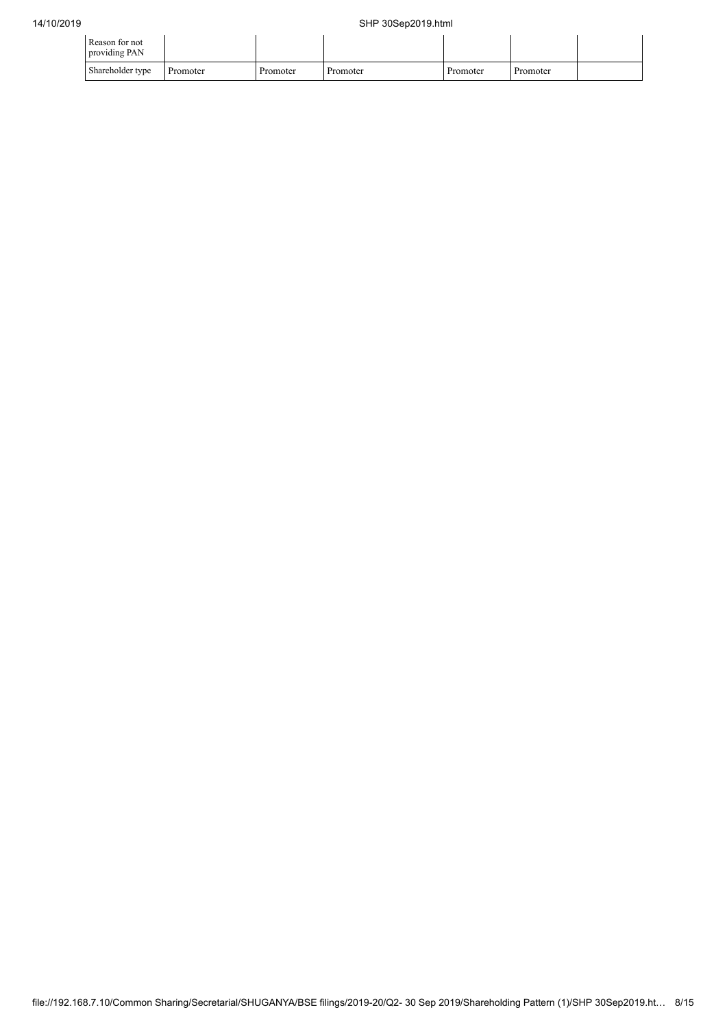| Reason for not<br>providing PAN |          |          |          |          |          |  |
|---------------------------------|----------|----------|----------|----------|----------|--|
| Shareholder type                | Promoter | Promoter | Promoter | Promoter | Promoter |  |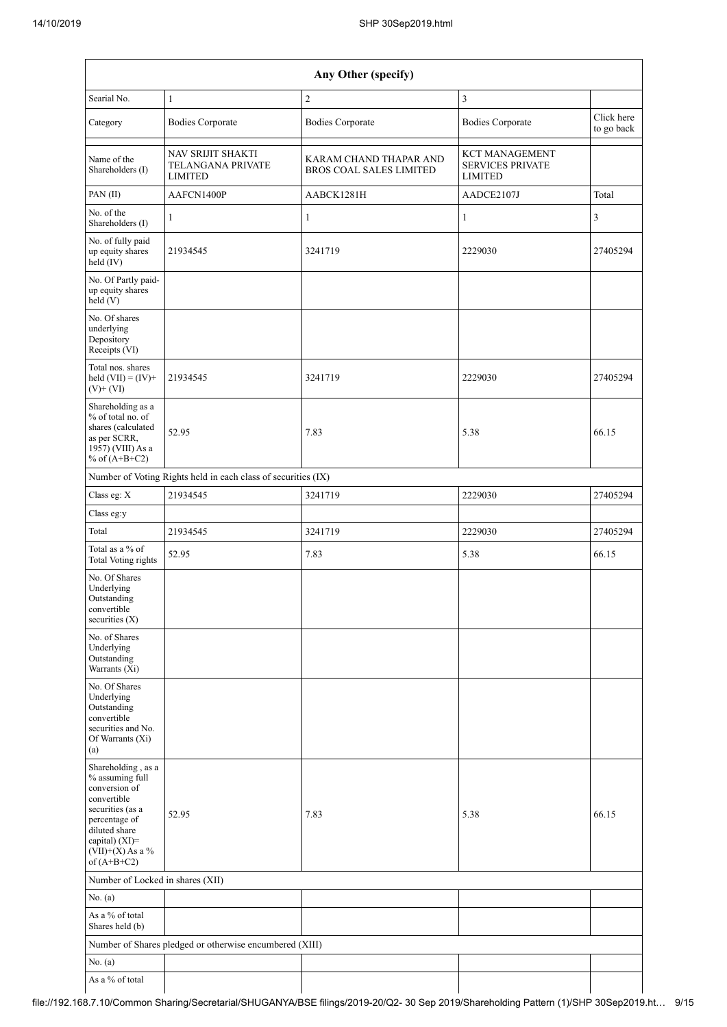|                                                                                                                                                                                      | Any Other (specify)                                      |                                                          |                                                                    |                          |  |  |  |  |  |  |
|--------------------------------------------------------------------------------------------------------------------------------------------------------------------------------------|----------------------------------------------------------|----------------------------------------------------------|--------------------------------------------------------------------|--------------------------|--|--|--|--|--|--|
| Searial No.                                                                                                                                                                          | $\mathbf{1}$                                             | $\overline{c}$                                           | $\mathfrak{Z}$                                                     |                          |  |  |  |  |  |  |
| Category                                                                                                                                                                             | <b>Bodies Corporate</b>                                  | <b>Bodies Corporate</b>                                  | <b>Bodies Corporate</b>                                            | Click here<br>to go back |  |  |  |  |  |  |
| Name of the<br>Shareholders (I)                                                                                                                                                      | NAV SRIJIT SHAKTI<br>TELANGANA PRIVATE<br><b>LIMITED</b> | KARAM CHAND THAPAR AND<br><b>BROS COAL SALES LIMITED</b> | <b>KCT MANAGEMENT</b><br><b>SERVICES PRIVATE</b><br><b>LIMITED</b> |                          |  |  |  |  |  |  |
| PAN(II)                                                                                                                                                                              | AAFCN1400P                                               | AABCK1281H                                               | AADCE2107J                                                         | Total                    |  |  |  |  |  |  |
| No. of the<br>Shareholders (I)                                                                                                                                                       | $\mathbf{1}$                                             | 1                                                        | $\mathbf{1}$                                                       | 3                        |  |  |  |  |  |  |
| No. of fully paid<br>up equity shares<br>held (IV)                                                                                                                                   | 21934545                                                 | 3241719                                                  | 2229030                                                            | 27405294                 |  |  |  |  |  |  |
| No. Of Partly paid-<br>up equity shares<br>held(V)                                                                                                                                   |                                                          |                                                          |                                                                    |                          |  |  |  |  |  |  |
| No. Of shares<br>underlying<br>Depository<br>Receipts (VI)                                                                                                                           |                                                          |                                                          |                                                                    |                          |  |  |  |  |  |  |
| Total nos. shares<br>held $(VII) = (IV) +$<br>$(V)$ + $(VI)$                                                                                                                         | 21934545                                                 | 3241719                                                  | 2229030                                                            | 27405294                 |  |  |  |  |  |  |
| Shareholding as a<br>% of total no. of<br>shares (calculated<br>as per SCRR,<br>1957) (VIII) As a<br>% of $(A+B+C2)$                                                                 | 52.95                                                    | 7.83                                                     | 5.38                                                               | 66.15                    |  |  |  |  |  |  |
| Number of Voting Rights held in each class of securities (IX)                                                                                                                        |                                                          |                                                          |                                                                    |                          |  |  |  |  |  |  |
| Class eg: X                                                                                                                                                                          | 21934545                                                 | 3241719                                                  | 2229030                                                            | 27405294                 |  |  |  |  |  |  |
| Class eg:y                                                                                                                                                                           |                                                          |                                                          |                                                                    |                          |  |  |  |  |  |  |
| Total                                                                                                                                                                                | 21934545                                                 | 3241719                                                  | 2229030                                                            | 27405294                 |  |  |  |  |  |  |
| Total as a % of<br><b>Total Voting rights</b>                                                                                                                                        | 52.95                                                    | 7.83                                                     | 5.38                                                               | 66.15                    |  |  |  |  |  |  |
| No. Of Shares<br>Underlying<br>Outstanding<br>convertible<br>securities (X)                                                                                                          |                                                          |                                                          |                                                                    |                          |  |  |  |  |  |  |
| No. of Shares<br>Underlying<br>Outstanding<br>Warrants (Xi)                                                                                                                          |                                                          |                                                          |                                                                    |                          |  |  |  |  |  |  |
| No. Of Shares<br>Underlying<br>Outstanding<br>convertible<br>securities and No.<br>Of Warrants (Xi)<br>(a)                                                                           |                                                          |                                                          |                                                                    |                          |  |  |  |  |  |  |
| Shareholding, as a<br>% assuming full<br>conversion of<br>convertible<br>securities (as a<br>percentage of<br>diluted share<br>capital) (XI)=<br>$(VII)+(X)$ As a %<br>of $(A+B+C2)$ | 52.95                                                    | 7.83                                                     | 5.38                                                               | 66.15                    |  |  |  |  |  |  |
|                                                                                                                                                                                      | Number of Locked in shares (XII)                         |                                                          |                                                                    |                          |  |  |  |  |  |  |
| No. (a)                                                                                                                                                                              |                                                          |                                                          |                                                                    |                          |  |  |  |  |  |  |
| As a % of total<br>Shares held (b)                                                                                                                                                   |                                                          |                                                          |                                                                    |                          |  |  |  |  |  |  |
|                                                                                                                                                                                      | Number of Shares pledged or otherwise encumbered (XIII)  |                                                          |                                                                    |                          |  |  |  |  |  |  |
| No. (a)                                                                                                                                                                              |                                                          |                                                          |                                                                    |                          |  |  |  |  |  |  |
| As a % of total                                                                                                                                                                      |                                                          |                                                          |                                                                    |                          |  |  |  |  |  |  |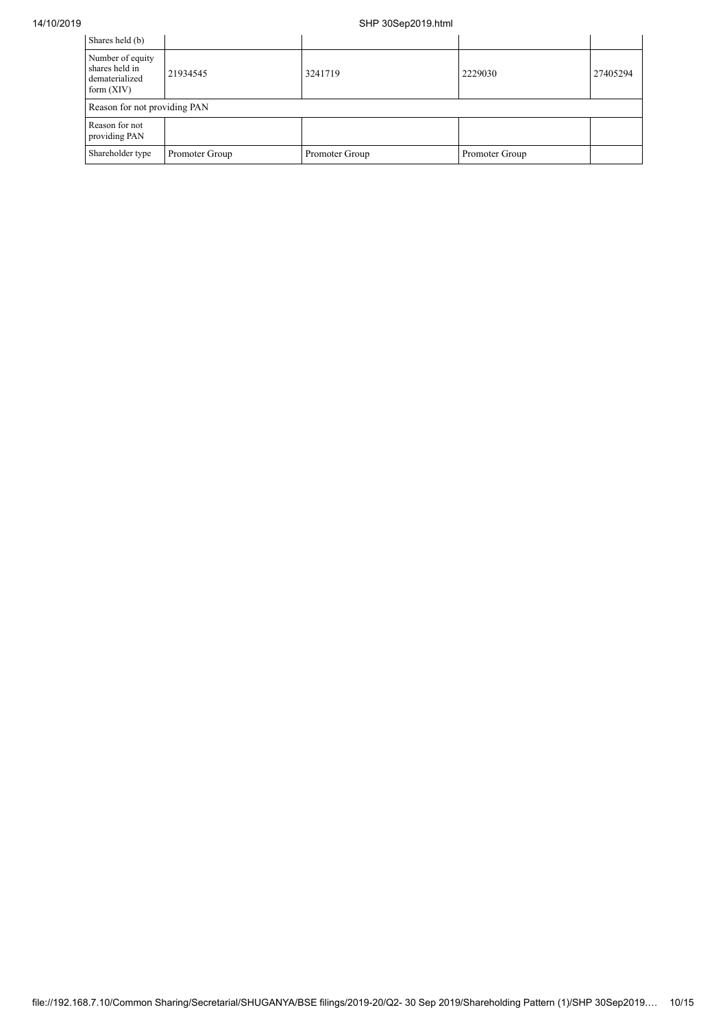| Shares held (b)                                                      |                |                |                |          |  |  |  |  |
|----------------------------------------------------------------------|----------------|----------------|----------------|----------|--|--|--|--|
|                                                                      |                |                |                |          |  |  |  |  |
| Number of equity<br>shares held in<br>dematerialized<br>form $(XIV)$ | 21934545       | 3241719        | 2229030        | 27405294 |  |  |  |  |
| Reason for not providing PAN                                         |                |                |                |          |  |  |  |  |
| Reason for not<br>providing PAN                                      |                |                |                |          |  |  |  |  |
| Shareholder type                                                     | Promoter Group | Promoter Group | Promoter Group |          |  |  |  |  |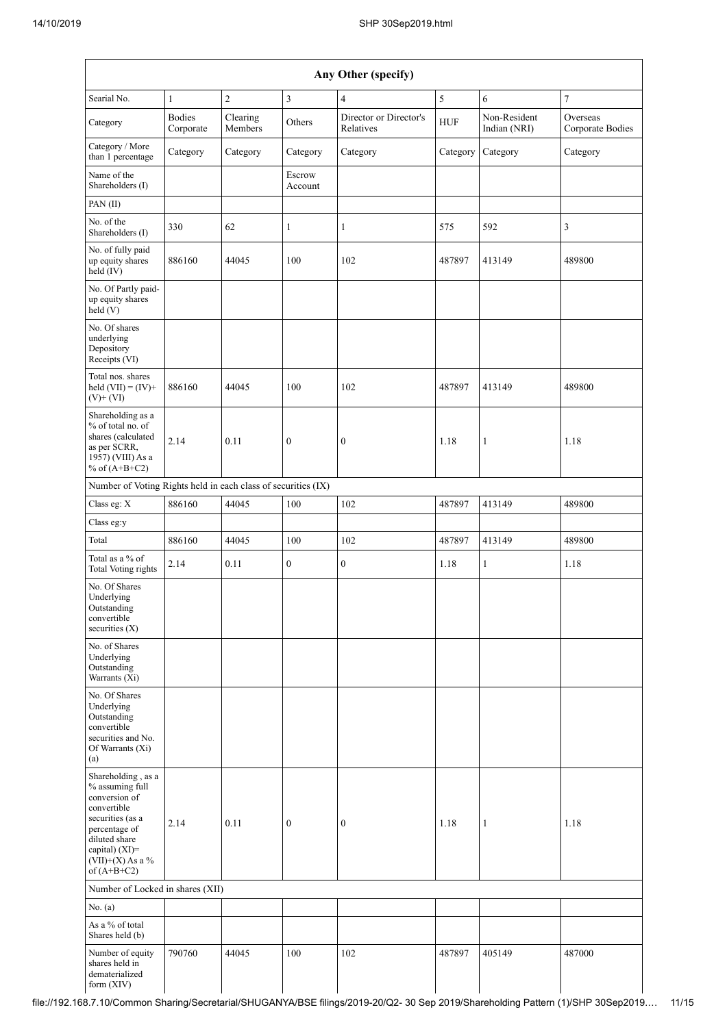|                                                                                                                                                                                      | Any Other (specify)        |                     |                   |                                     |            |                              |                              |  |  |
|--------------------------------------------------------------------------------------------------------------------------------------------------------------------------------------|----------------------------|---------------------|-------------------|-------------------------------------|------------|------------------------------|------------------------------|--|--|
| Searial No.                                                                                                                                                                          | $\mathbf{1}$               | $\overline{2}$      | 3                 | 4                                   | $\sqrt{5}$ | 6                            | $\tau$                       |  |  |
| Category                                                                                                                                                                             | <b>Bodies</b><br>Corporate | Clearing<br>Members | Others            | Director or Director's<br>Relatives | <b>HUF</b> | Non-Resident<br>Indian (NRI) | Overseas<br>Corporate Bodies |  |  |
| Category / More<br>than 1 percentage                                                                                                                                                 | Category                   | Category            | Category          | Category                            | Category   | Category                     | Category                     |  |  |
| Name of the<br>Shareholders (I)                                                                                                                                                      |                            |                     | Escrow<br>Account |                                     |            |                              |                              |  |  |
| PAN (II)                                                                                                                                                                             |                            |                     |                   |                                     |            |                              |                              |  |  |
| No. of the<br>Shareholders (I)                                                                                                                                                       | 330                        | 62                  | $\mathbf{1}$      | $\mathbf{1}$                        | 575        | 592                          | 3                            |  |  |
| No. of fully paid<br>up equity shares<br>held (IV)                                                                                                                                   | 886160                     | 44045               | 100               | 102                                 | 487897     | 413149                       | 489800                       |  |  |
| No. Of Partly paid-<br>up equity shares<br>held(V)                                                                                                                                   |                            |                     |                   |                                     |            |                              |                              |  |  |
| No. Of shares<br>underlying<br>Depository<br>Receipts (VI)                                                                                                                           |                            |                     |                   |                                     |            |                              |                              |  |  |
| Total nos. shares<br>held $(VII) = (IV) +$<br>$(V)$ + $(VI)$                                                                                                                         | 886160                     | 44045               | 100               | 102                                 | 487897     | 413149                       | 489800                       |  |  |
| Shareholding as a<br>% of total no. of<br>shares (calculated<br>as per SCRR,<br>1957) (VIII) As a<br>% of $(A+B+C2)$                                                                 | 2.14                       | 0.11                | $\boldsymbol{0}$  | $\boldsymbol{0}$                    | 1.18       | $\mathbf{1}$                 | 1.18                         |  |  |
| Number of Voting Rights held in each class of securities (IX)                                                                                                                        |                            |                     |                   |                                     |            |                              |                              |  |  |
| Class eg: X                                                                                                                                                                          | 886160                     | 44045               | 100               | 102                                 | 487897     | 413149                       | 489800                       |  |  |
| Class eg:y                                                                                                                                                                           |                            |                     |                   |                                     |            |                              |                              |  |  |
| Total                                                                                                                                                                                | 886160                     | 44045               | 100               | 102                                 | 487897     | 413149                       | 489800                       |  |  |
| Total as a % of<br>Total Voting rights                                                                                                                                               | 2.14                       | 0.11                | $\boldsymbol{0}$  | $\boldsymbol{0}$                    | 1.18       | $\mathbf{1}$                 | 1.18                         |  |  |
| No. Of Shares<br>Underlying<br>Outstanding<br>convertible<br>securities $(X)$                                                                                                        |                            |                     |                   |                                     |            |                              |                              |  |  |
| No. of Shares<br>Underlying<br>Outstanding<br>Warrants (Xi)                                                                                                                          |                            |                     |                   |                                     |            |                              |                              |  |  |
| No. Of Shares<br>Underlying<br>Outstanding<br>convertible<br>securities and No.<br>Of Warrants (Xi)<br>(a)                                                                           |                            |                     |                   |                                     |            |                              |                              |  |  |
| Shareholding, as a<br>% assuming full<br>conversion of<br>convertible<br>securities (as a<br>percentage of<br>diluted share<br>capital) (XI)=<br>$(VII)+(X)$ As a %<br>of $(A+B+C2)$ | 2.14                       | 0.11                | $\boldsymbol{0}$  | $\mathbf{0}$                        | 1.18       | $\mathbf{1}$                 | 1.18                         |  |  |
| Number of Locked in shares (XII)                                                                                                                                                     |                            |                     |                   |                                     |            |                              |                              |  |  |
| No. (a)                                                                                                                                                                              |                            |                     |                   |                                     |            |                              |                              |  |  |
| As a % of total<br>Shares held (b)                                                                                                                                                   |                            |                     |                   |                                     |            |                              |                              |  |  |
| Number of equity<br>shares held in<br>dematerialized<br>form (XIV)                                                                                                                   | 790760                     | 44045               | 100               | 102                                 | 487897     | 405149                       | 487000                       |  |  |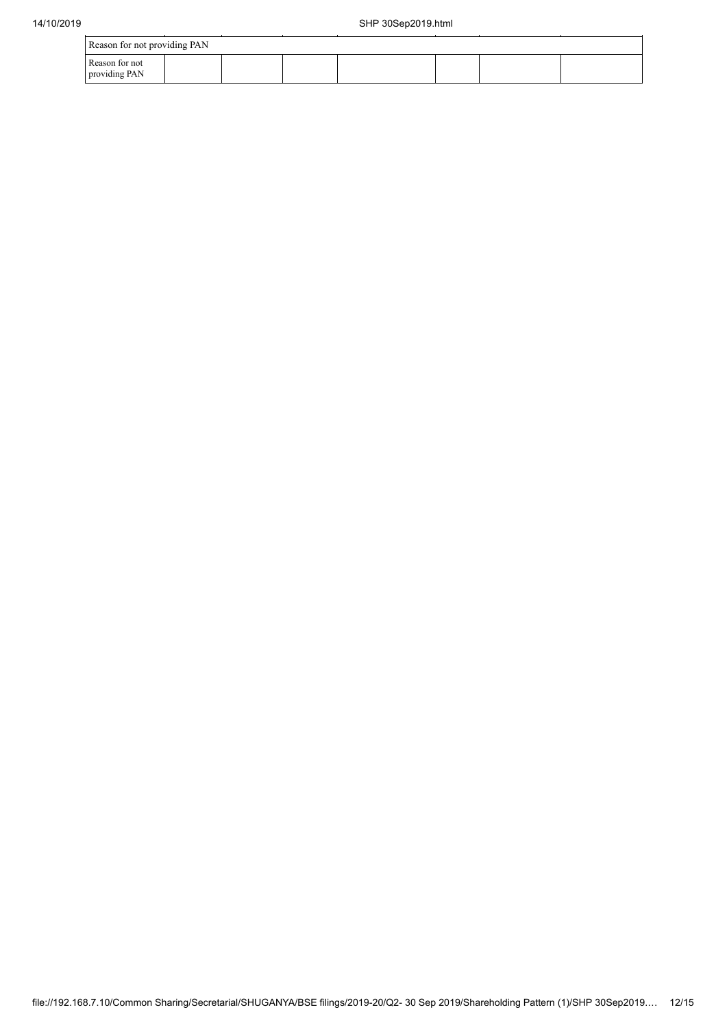| con for not providing DAN |  |
|---------------------------|--|
|                           |  |

| Reason for not providing PAN |  |  |  |  |  |  |  |  |  |
|------------------------------|--|--|--|--|--|--|--|--|--|
| Reason for not               |  |  |  |  |  |  |  |  |  |
| providing PAN                |  |  |  |  |  |  |  |  |  |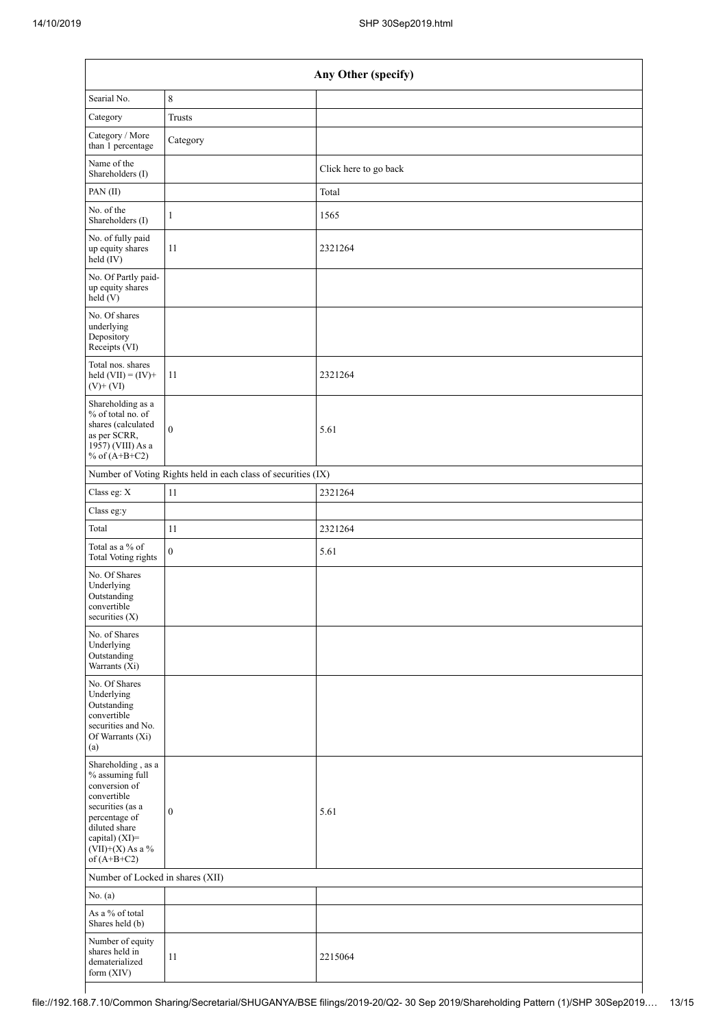| Any Other (specify)                                                                                                                                                                   |                                                               |                       |  |  |  |  |
|---------------------------------------------------------------------------------------------------------------------------------------------------------------------------------------|---------------------------------------------------------------|-----------------------|--|--|--|--|
| Searial No.                                                                                                                                                                           | $\,8\,$                                                       |                       |  |  |  |  |
| Category                                                                                                                                                                              | <b>Trusts</b>                                                 |                       |  |  |  |  |
| Category / More<br>than 1 percentage                                                                                                                                                  | Category                                                      |                       |  |  |  |  |
| Name of the<br>Shareholders (I)                                                                                                                                                       |                                                               | Click here to go back |  |  |  |  |
| PAN(II)                                                                                                                                                                               |                                                               | Total                 |  |  |  |  |
| No. of the<br>Shareholders (I)                                                                                                                                                        | $\mathbf{1}$                                                  | 1565                  |  |  |  |  |
| No. of fully paid<br>up equity shares<br>$\text{held}(\text{IV})$                                                                                                                     | 11                                                            | 2321264               |  |  |  |  |
| No. Of Partly paid-<br>up equity shares<br>held (V)                                                                                                                                   |                                                               |                       |  |  |  |  |
| No. Of shares<br>underlying<br>Depository<br>Receipts (VI)                                                                                                                            |                                                               |                       |  |  |  |  |
| Total nos. shares<br>held $(VII) = (IV) +$<br>$(V)$ + $(VI)$                                                                                                                          | 11                                                            | 2321264               |  |  |  |  |
| Shareholding as a<br>% of total no. of<br>shares (calculated<br>as per SCRR,<br>1957) (VIII) As a<br>% of $(A+B+C2)$                                                                  | $\boldsymbol{0}$                                              | 5.61                  |  |  |  |  |
|                                                                                                                                                                                       | Number of Voting Rights held in each class of securities (IX) |                       |  |  |  |  |
| Class eg: X                                                                                                                                                                           | 11                                                            | 2321264               |  |  |  |  |
| Class eg:y                                                                                                                                                                            |                                                               |                       |  |  |  |  |
| Total                                                                                                                                                                                 | 11                                                            | 2321264               |  |  |  |  |
| Total as a % of<br><b>Total Voting rights</b>                                                                                                                                         | $\boldsymbol{0}$                                              | 5.61                  |  |  |  |  |
| No. Of Shares<br>Underlying<br>Outstanding<br>convertible<br>securities (X)                                                                                                           |                                                               |                       |  |  |  |  |
| No. of Shares<br>Underlying<br>Outstanding<br>Warrants $(X_i)$                                                                                                                        |                                                               |                       |  |  |  |  |
| No. Of Shares<br>Underlying<br>Outstanding<br>convertible<br>securities and No.<br>Of Warrants (Xi)<br>(a)                                                                            |                                                               |                       |  |  |  |  |
| Shareholding, as a<br>% assuming full<br>conversion of<br>convertible<br>securities (as a<br>percentage of<br>diluted share<br>capital) (XI)=<br>(VII)+(X) As a $\%$<br>of $(A+B+C2)$ | $\boldsymbol{0}$                                              | 5.61                  |  |  |  |  |
| Number of Locked in shares (XII)                                                                                                                                                      |                                                               |                       |  |  |  |  |
| No. (a)                                                                                                                                                                               |                                                               |                       |  |  |  |  |
| As a % of total<br>Shares held (b)                                                                                                                                                    |                                                               |                       |  |  |  |  |
| Number of equity<br>shares held in<br>dematerialized<br>form (XIV)                                                                                                                    | 11                                                            | 2215064               |  |  |  |  |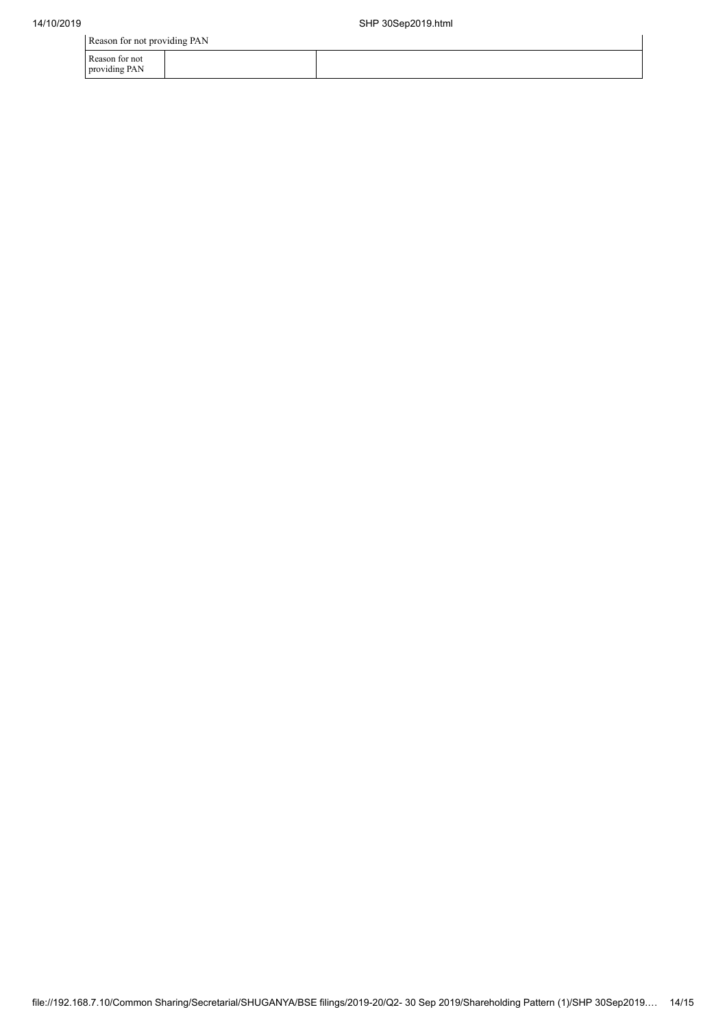Reason for not providing PAN

| Reason for not providing PAN      |  |  |  |  |  |  |  |
|-----------------------------------|--|--|--|--|--|--|--|
| i Reason for not<br>providing PAN |  |  |  |  |  |  |  |